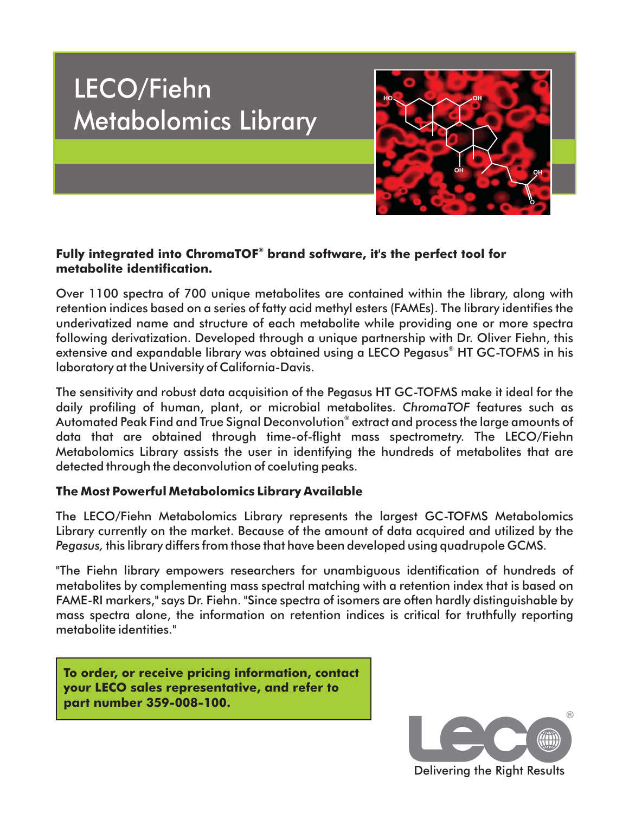# LECO/Fiehn Metabolomics Library



## Fully integrated into ChromaTOF<sup>®</sup> brand software, it's the perfect tool for **metabolite identification.**

Over 1100 spectra of 700 unique metabolites are contained within the library, along with retention indices based on a series of fatty acid methyl esters (FAMEs). The library identifies the underivatized name and structure of each metabolite while providing one or more spectra following derivatization. Developed through a unique partnership with Dr. Oliver Fiehn, this extensive and expandable library was obtained using a LECO Pegasus<sup>®</sup> HT GC-TOFMS in his laboratory at the University of California-Davis.

The sensitivity and robust data acquisition of the Pegasus HT GC-TOFMS make it ideal for the daily profiling of human, plant, or microbial metabolites. ChromaTOF features such as Automated Peak Find and True Signal Deconvolution® extract and process the large amounts of data that are obtained through time-of-flight mass spectrometry. The LECO/Fiehn Metabolomics Library assists the user in identifying the hundreds of metabolites that are detected through the deconvolution of coeluting peaks.

## **The Most Powerful Metabolomics Library Available**

The LECO/Fiehn Metabolomics Library represents the largest GC-TOFMS Metabolomics Library currently on the market. Because of the amount of data acquired and utilized by the *Pegasus,* this library differs from those that have been developed using quadrupole GCMS.

"The Fiehn library empowers researchers for unambiguous identification of hundreds of metabolites by complementing mass spectral matching with a retention index that is based on FAME-RI markers," says Dr. Fiehn. "Since spectra of isomers are often hardly distinguishable by mass spectra alone, the information on retention indices is critical for truthfully reporting metabolite identities."

**To order, or receive pricing information, contact your LECO sales representative, and refer to part number 359-008-100.**